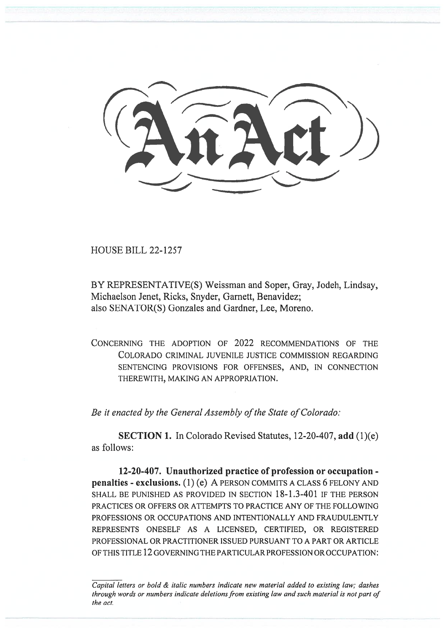HOUSE BILL 22-1257

BY REPRESENTATIVE(S) Weissman and Soper, Gray, Jodeh, Lindsay, Michaelson Jenet, Ricks, Snyder, Garnett, Benavidez; also SENATOR(S) Gonzales and Gardner, Lee, Moreno.

CONCERNING THE ADOPTION OF 2022 RECOMMENDATIONS OF THE COLORADO CRIMINAL JUVENILE JUSTICE COMMISSION REGARDING SENTENCING PROVISIONS FOR OFFENSES, AND, IN CONNECTION THEREWITH, MAKING AN APPROPRIATION.

Be it enacted by the General Assembly of the State of Colorado:

SECTION 1. In Colorado Revised Statutes, 12-20-407, add (1)(e) as follows:

12-20-407. Unauthorized practice of profession or occupation penalties - exclusions. (1) (e) A PERSON COMMITS A CLASS 6 FELONY AND SHALL BE PUNISHED AS PROVIDED IN SECTION 18-1.3-401 IF THE PERSON PRACTICES OR OFFERS OR ATTEMPTS TO PRACTICE ANY OF THE FOLLOWING PROFESSIONS OR OCCUPATIONS AND INTENTIONALLY AND FRAUDULENTLY REPRESENTS ONESELF AS A LICENSED, CERTIFIED, OR REGISTERED PROFESSIONAL OR PRACTITIONER ISSUED PURSUANT TO A PART OR ARTICLE OF THIS TITLE 12 GOVERNING THE PARTICULAR PROFESSION OR OCCUPATION:

Capital letters or bold & italic numbers indicate new material added to existing law; dashes through words or numbers indicate deletions from existing law and such material is not part of the act.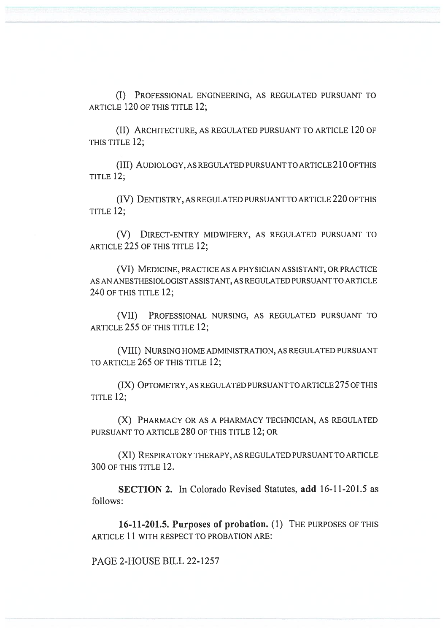(I) PROFESSIONAL ENGINEERING, AS REGULATED PURSUANT TO ARTICLE 120 OF THIS TITLE 12;

(II) ARCHITECTURE, AS REGULATED PURSUANT TO ARTICLE 120 OF THIS TITLE 12;

(III) AUDIOLOGY, AS REGULATED PURSUANT TO ARTICLE 210 OF THIS TITLE 12;

(IV) DENTISTRY, AS REGULATED PURSUANT TO ARTICLE 220 OF THIS TITLE 12;

(V) DIRECT-ENTRY MIDWIFERY, AS REGULATED PURSUANT TO ARTICLE 225 OF THIS TITLE 12;

(VI) MEDICINE, PRACTICE AS A PHYSICIAN ASSISTANT, OR PRACTICE AS AN ANESTHESIOLOGIST ASSISTANT, AS REGULATED PURSUANT TO ARTICLE 240 OF THIS TITLE 12;

(VII) PROFESSIONAL NURSING, AS REGULATED PURSUANT TO ARTICLE 255 OF THIS TITLE 12;

(VIII) NURSING HOME ADMINISTRATION, AS REGULATED PURSUANT TO ARTICLE 265 OF THIS TITLE 12;

(IX) OPTOMETRY, AS REGULATED PURSUANT TO ARTICLE 275 OF THIS TITLE 12;

(X) PHARMACY OR AS A PHARMACY TECHNICIAN, AS REGULATED PURSUANT TO ARTICLE 280 OF THIS TITLE 12; OR

(XI) RESPIRATORY THERAPY, AS REGULATED PURSUANT TO ARTICLE 300 OF THIS TITLE 12.

SECTION 2. In Colorado Revised Statutes, add 16-11-201.5 as follows:

16-11-201.5. Purposes of probation. (1) THE PURPOSES OF THIS ARTICLE 11 WITH RESPECT TO PROBATION ARE:

PAGE 2-HOUSE BILL 22-1257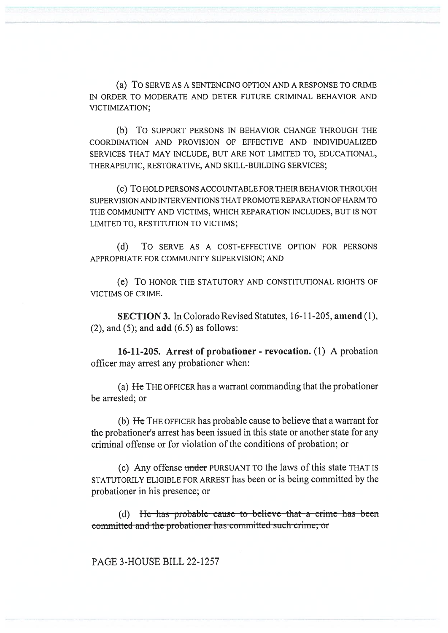(a) To SERVE AS A SENTENCING OPTION AND A RESPONSE TO CRIME IN ORDER TO MODERATE AND DETER FUTURE CRIMINAL BEHAVIOR AND VICTIMIZATION;

(b) To SUPPORT PERSONS IN BEHAVIOR CHANGE THROUGH THE COORDINATION AND PROVISION OF EFFECTIVE AND INDIVIDUALIZED SERVICES THAT MAY INCLUDE, BUT ARE NOT LIMITED TO, EDUCATIONAL, THERAPEUTIC, RESTORATIVE, AND SKILL-BUILDING SERVICES;

(c) To HOLD PERSONS ACCOUNTABLE FOR THEIR BEHAVIOR THROUGH SUPERVISION AND INTERVENTIONS THAT PROMOTE REPARATION OF HARM TO THE COMMUNITY AND VICTIMS, WHICH REPARATION INCLUDES, BUT IS NOT LIMITED TO, RESTITUTION TO VICTIMS;

(d) To SERVE AS A COST-EFFECTIVE OPTION FOR PERSONS APPROPRIATE FOR COMMUNITY SUPERVISION; AND

(e) To HONOR THE STATUTORY AND CONSTITUTIONAL RIGHTS OF VICTIMS OF CRIME.

SECTION 3. In Colorado Revised Statutes, 16-11-205, amend (1),  $(2)$ , and  $(5)$ ; and  $add (6.5)$  as follows:

16-11-205. Arrest of probationer - revocation. (1) A probation officer may arrest any probationer when:

(a) He THE OFFICER has a warrant commanding that the probationer be arrested; or

(b) He THE OFFICER has probable cause to believe that a warrant for the probationer's arrest has been issued in this state or another state for any criminal offense or for violation of the conditions of probation; or

(c) Any offense under PURSUANT TO the laws of this state THAT IS STATUTORILY ELIGIBLE FOR ARREST has been or is being committed by the probationer in his presence; or

(d) He—has—probable—cause—to—believe—that—a—crime—has—been committed and the probationer has committed such crime; or

PAGE 3-HOUSE BILL 22-1257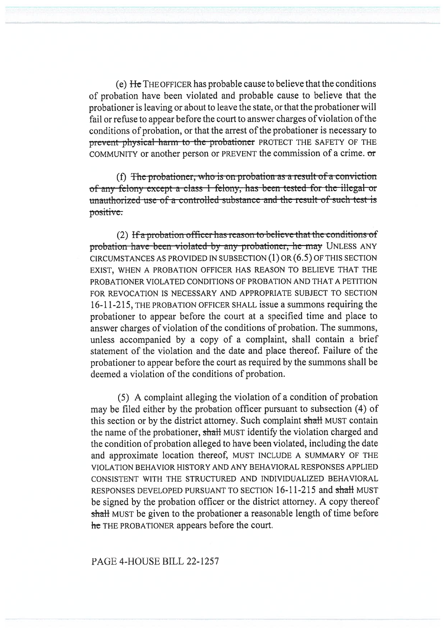(e) He THE OFFICER has probable cause to believe that the conditions of probation have been violated and probable cause to believe that the probationer is leaving or about to leave the state, or that the probationer will fail or refuse to appear before the court to answer charges of violation of the conditions of probation, or that the arrest of the probationer is necessary to prevent physical-harm to the probationer PROTECT THE SAFETY OF THE COMMUNITY or another person or PREVENT the commission of a crime. or

(f) The probationer, who is on probation as a result of a conviction of any felony except a class 1 felony, has been tested for the illegal or unauthorized-use-of-a-controlled-substance-and-the-result-of-such-test-is positive:.

(2) If a probation officer has reason to believe that the conditions of probation-have-been-violated-by any probationer, he may UNLESS ANY CIRCUMSTANCES AS PROVIDED IN SUBSECTION (1) OR (6.5) OF THIS SECTION EXIST, WHEN A PROBATION OFFICER HAS REASON TO BELIEVE THAT THE PROBATIONER VIOLATED CONDITIONS OF PROBATION AND THAT A PETITION FOR REVOCATION IS NECESSARY AND APPROPRIATE SUBJECT TO SECTION 16-11-215, THE PROBATION OFFICER SHALL issue a summons requiring the probationer to appear before the court at a specified time and place to answer charges of violation of the conditions of probation. The summons, unless accompanied by a copy of a complaint, shall contain a brief statement of the violation and the date and place thereof. Failure of the probationer to appear before the court as required by the summons shall be deemed a violation of the conditions of probation.

(5) A complaint alleging the violation of a condition of probation may be filed either by the probation officer pursuant to subsection (4) of this section or by the district attorney. Such complaint shall MUST contain the name of the probationer, shall MUST identify the violation charged and the condition of probation alleged to have been violated, including the date and approximate location thereof, MUST INCLUDE A SUMMARY OF THE VIOLATION BEHAVIOR HISTORY AND ANY BEHAVIORAL RESPONSES APPLIED CONSISTENT WITH THE STRUCTURED AND INDIVIDUALIZED BEHAVIORAL RESPONSES DEVELOPED PURSUANT TO SECTION 16-11-215 and shall MUST be signed by the probation officer or the district attorney. A copy thereof shall MUST be given to the probationer a reasonable length of time before he THE PROBATIONER appears before the court.

## PAGE 4-HOUSE BILL 22-1257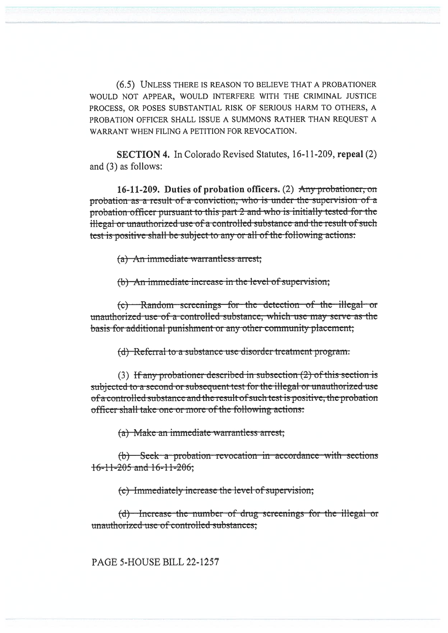(6.5) UNLESS THERE IS REASON TO BELIEVE THAT A PROBATIONER WOULD NOT APPEAR, WOULD INTERFERE WITH THE CRIMINAL JUSTICE PROCESS, OR POSES SUBSTANTIAL RISK OF SERIOUS HARM TO OTHERS, A PROBATION OFFICER SHALL ISSUE A SUMMONS RATHER THAN REQUEST A WARRANT WHEN FILING A PETITION FOR REVOCATION.

**SECTION 4.** In Colorado Revised Statutes, 16-11-209, repeal (2) and (3) as follows:

16-11-209. Duties of probation officers. (2) Any probationer, on probation as a result of a conviction, who is under the supervision of a probation officer pursuant to this part 2 and who is initially tested for the illegal or unauthorized use of a controlled substance and the result of such test is positive shall be subject to any or all of the following actions:

(a) An immediate warrantless arrest;

(b) An immediate increase in the level of supervision;

(c) Random screenings for the detection of the illegal or unauthorized use of a controlled substance, which use may serve as the basis for additional punishment or any other community placement;

(d) Referral to a substance use disorder treatment program.

(3) If any probationer described in subsection  $(2)$  of this section is subjected to a second or subsequent test for the illegal or unauthorized use of a controlled substance and the result of such test is positive, the probation officer shall take one or more of the following actions:

(a) Make an immediate warrantless arrest;

(b) Seek a probation revocation in accordance with sections  $16 - 11 - 205$  and  $16 - 11 - 206$ ;

(c) Immediately increase the level of supervision;

(d) Increase the number of drug screenings for the illegal or unauthorized use of controlled substances:

PAGE 5-HOUSE BILL 22-1257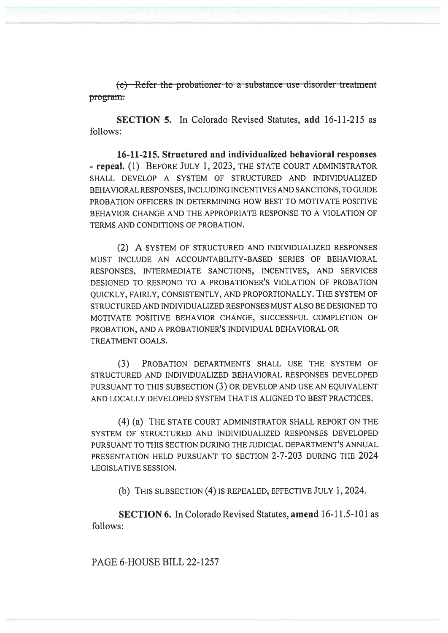$\epsilon$ ) Refer the probationer to a substance use disorder treatment program.

SECTION 5. In Colorado Revised Statutes, add 16-11-215 as follows:

16-11-215. Structured and individualized behavioral responses - repeal. (1) BEFORE JULY 1, 2023, THE STATE COURT ADMINISTRATOR SHALL DEVELOP A SYSTEM OF STRUCTURED AND INDIVIDUALIZED BEHAVIORAL RESPONSES, INCLUDING INCENTIVES AND SANCTIONS, TO GUIDE PROBATION OFFICERS IN DETERMINING HOW BEST TO MOTIVATE POSITIVE BEHAVIOR CHANGE AND THE APPROPRIATE RESPONSE TO A VIOLATION OF TERMS AND CONDITIONS OF PROBATION.

(2) A SYSTEM OF STRUCTURED AND INDIVIDUALIZED RESPONSES MUST INCLUDE AN ACCOUNTABILITY-BASED SERIES OF BEHAVIORAL RESPONSES, INTERMEDIATE SANCTIONS, INCENTIVES, AND SERVICES DESIGNED TO RESPOND TO A PROBATIONER'S VIOLATION OF PROBATION QUICKLY, FAIRLY, CONSISTENTLY, AND PROPORTIONALLY. THE SYSTEM OF STRUCTURED AND INDIVIDUALIZED RESPONSES MUST ALSO BE DESIGNED TO MOTIVATE POSITIVE BEHAVIOR CHANGE, SUCCESSFUL COMPLETION OF PROBATION, AND A PROBATIONER'S INDIVIDUAL BEHAVIORAL OR TREATMENT GOALS.

(3) PROBATION DEPARTMENTS SHALL USE THE SYSTEM OF STRUCTURED AND INDIVIDUALIZED BEHAVIORAL RESPONSES DEVELOPED PURSUANT TO THIS SUBSECTION (3) OR DEVELOP AND USE AN EQUIVALENT AND LOCALLY DEVELOPED SYSTEM THAT IS ALIGNED TO BEST PRACTICES.

(4) (a) THE STATE COURT ADMINISTRATOR SHALL REPORT ON THE SYSTEM OF STRUCTURED AND INDIVIDUALIZED RESPONSES DEVELOPED PURSUANT TO THIS SECTION DURING THE JUDICIAL DEPARTMENT'S ANNUAL PRESENTATION HELD PURSUANT TO SECTION 2-7-203 DURING THE 2024 LEGISLATIVE SESSION.

(b) THIS SUBSECTION (4) IS REPEALED, EFFECTIVE JULY 1, 2024.

SECTION 6. In Colorado Revised Statutes, amend 16-11.5-101 as follows:

PAGE 6-HOUSE BILL 22-1257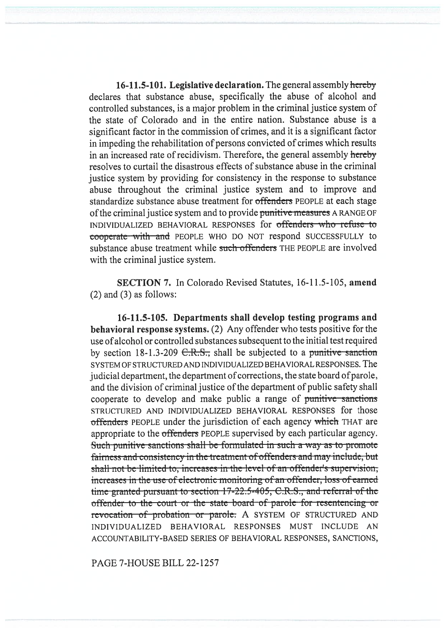16-11.5-101. Legislative declaration. The general assembly hereby declares that substance abuse, specifically the abuse of alcohol and controlled substances, is a major problem in the criminal justice system of the state of Colorado and in the entire nation. Substance abuse is a significant factor in the commission of crimes, and it is a significant factor in impeding the rehabilitation of persons convicted of crimes which results in an increased rate of recidivism. Therefore, the general assembly hereby resolves to curtail the disastrous effects of substance abuse in the criminal justice system by providing for consistency in the response to substance abuse throughout the criminal justice system and to improve and standardize substance abuse treatment for offenders PEOPLE at each stage of the criminal justice system and to provide punitive measures A RANGE OF INDIVIDUALIZED BEHAVIORAL RESPONSES for offenders who refuse to cooperate with and PEOPLE WHO DO NOT respond SUCCESSFULLY to substance abuse treatment while such offenders THE PEOPLE are involved with the criminal justice system.

SECTION 7. In Colorado Revised Statutes, 16-11.5-105, amend (2) and (3) as follows:

16-11.5-105. Departments shall develop testing programs and behavioral response systems. (2) Any offender who tests positive for the use of alcohol or controlled substances subsequent to the initial test required by section 18-1.3-209  $C.R.S.,$  shall be subjected to a punitive-sanction SYSTEM OF STRUCTURED AND INDIVIDUALIZED BEHAVIORAL RESPONSES. The judicial department, the department of corrections, the state board of parole, and the division of criminal justice of the department of public safety shall cooperate to develop and make public a range of punitive-sanctions STRUCTURED AND INDIVIDUALIZED BEHAVIORAL RESPONSES for those offenders PEOPLE under the jurisdiction of each agency which THAT are appropriate to the offenders PEOPLE supervised by each particular agency. Such punitive sanctions shall be formulated in such a way as to promote fairness and consistency in the treatment of offenders and may include, but shall not bc limited to, incrcascs in the level of an offender's supervision, increases in the use of electronic monitoring of an offender, loss of earned time granted pursuant to section 17-22.5-405, C.R.S., and referral of the offender to the court or the state-board of parole for resentencing or revocation of probation or parole: A SYSTEM OF STRUCTURED AND INDIVIDUALIZED BEHAVIORAL RESPONSES MUST INCLUDE AN ACCOUNTABILITY-BASED SERIES OF BEHAVIORAL RESPONSES, SANCTIONS,

PAGE 7-HOUSE BILL 22-1257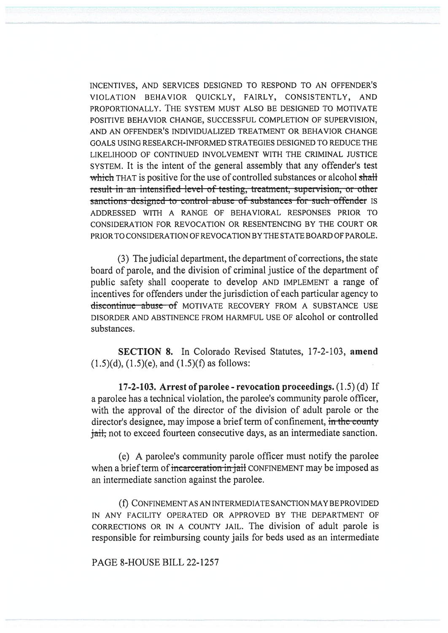INCENTIVES, AND SERVICES DESIGNED TO RESPOND TO AN OFFENDER'S VIOLATION BEHAVIOR QUICKLY, FAIRLY, CONSISTENTLY, AND PROPORTIONALLY. THE SYSTEM MUST ALSO BE DESIGNED TO MOTIVATE POSITIVE BEHAVIOR CHANGE, SUCCESSFUL COMPLETION OF SUPERVISION, AND AN OFFENDER'S INDIVIDUALIZED TREATMENT OR BEHAVIOR CHANGE GOALS USING RESEARCH-INFORMED STRATEGIES DESIGNED TO REDUCE THE LIKELIHOOD OF CONTINUED INVOLVEMENT WITH THE CRIMINAL JUSTICE SYSTEM. It is the intent of the general assembly that any offender's test which THAT is positive for the use of controlled substances or alcohol shall result in an intensified level of testing, treatment, supervision, or other sanctions designed to control abuse of substances for such offender IS ADDRESSED WITH A RANGE OF BEHAVIORAL RESPONSES PRIOR TO CONSIDERATION FOR REVOCATION OR RESENTENCING BY THE COURT OR PRIOR TO CONSIDERATION OF REVOCATION BY THE STATE BOARD OF PAROLE.

(3) The judicial department, the department of corrections, the state board of parole, and the division of criminal justice of the department of public safety shall cooperate to develop AND IMPLEMENT a range of incentives for offenders under the jurisdiction of each particular agency to discontinue abuse of MOTIVATE RECOVERY FROM A SUBSTANCE USE DISORDER AND ABSTINENCE FROM HARMFUL USE OF alcohol or controlled substances.

SECTION 8. In Colorado Revised Statutes, 17-2-103, amend  $(1.5)(d)$ ,  $(1.5)(e)$ , and  $(1.5)(f)$  as follows:

17-2-103. Arrest of parolee - revocation proceedings. (1.5) (d) If a parolee has a technical violation, the parolee's community parole officer, with the approval of the director of the division of adult parole or the director's designee, may impose a brief term of confinement, in the county jail, not to exceed fourteen consecutive days, as an intermediate sanction.

(e) A parolee's community parole officer must notify the parolee when a brief term of incarceration in jail CONFINEMENT may be imposed as an intermediate sanction against the parolee.

(f) CONFINEMENT AS AN INTERMEDIATE SANCTION MAY BE PROVIDED IN ANY FACILITY OPERATED OR APPROVED BY THE DEPARTMENT OF CORRECTIONS OR IN A COUNTY JAIL. The division of adult parole is responsible for reimbursing county jails for beds used as an intermediate

PAGE 8-HOUSE BILL 22-1257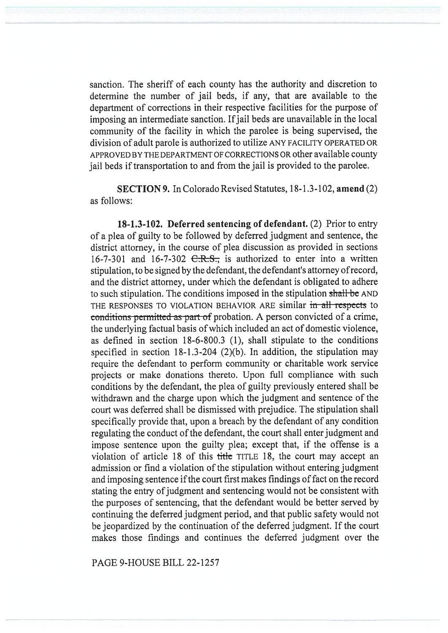sanction. The sheriff of each county has the authority and discretion to determine the number of jail beds, if any, that are available to the department of corrections in their respective facilities for the purpose of imposing an intermediate sanction. If jail beds are unavailable in the local community of the facility in which the parolee is being supervised, the division of adult parole is authorized to utilize ANY FACILITY OPERATED OR APPROVED BY THE DEPARTMENT OF CORRECTIONS OR other available county jail beds if transportation to and from the jail is provided to the parolee.

SECTION 9. In Colorado Revised Statutes, 18-1.3-102, amend (2) as follows:

18-1.3-102. Deferred sentencing of defendant. (2) Prior to entry of a plea of guilty to be followed by deferred judgment and sentence, the district attorney, in the course of plea discussion as provided in sections 16-7-301 and 16-7-302  $C.R.S.,$  is authorized to enter into a written stipulation, to be signed by the defendant, the defendant's attorney of record, and the district attorney, under which the defendant is obligated to adhere to such stipulation. The conditions imposed in the stipulation shall be AND THE RESPONSES TO VIOLATION BEHAVIOR ARE similar in all respects to conditions permitted as part of probation. A person convicted of a crime, the underlying factual basis of which included an act of domestic violence, as defined in section 18-6-800.3 (1), shall stipulate to the conditions specified in section 18-1.3-204 (2)(b). In addition, the stipulation may require the defendant to perform community or charitable work service projects or make donations thereto. Upon full compliance with such conditions by the defendant, the plea of guilty previously entered shall be withdrawn and the charge upon which the judgment and sentence of the court was deferred shall be dismissed with prejudice. The stipulation shall specifically provide that, upon a breach by the defendant of any condition regulating the conduct of the defendant, the court shall enter judgment and impose sentence upon the guilty plea; except that, if the offense is a violation of article 18 of this title TITLE 18, the court may accept an admission or find a violation of the stipulation without entering judgment and imposing sentence if the court first makes findings of fact on the record stating the entry of judgment and sentencing would not be consistent with the purposes of sentencing, that the defendant would be better served by continuing the deferred judgment period, and that public safety would not be jeopardized by the continuation of the deferred judgment. If the court makes those findings and continues the deferred judgment over the

PAGE 9-HOUSE BILL 22-1257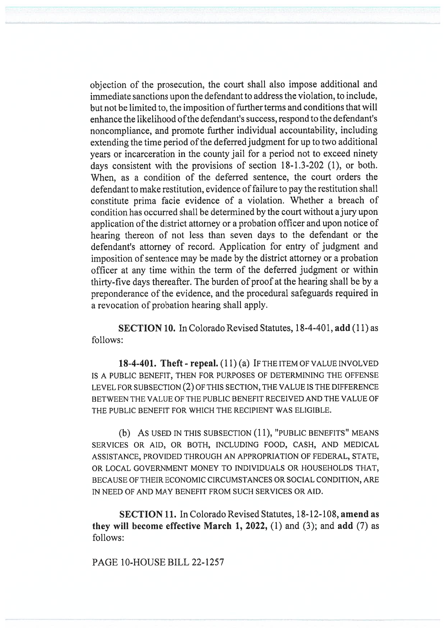objection of the prosecution, the court shall also impose additional and immediate sanctions upon the defendant to address the violation, to include, but not be limited to, the imposition of further terms and conditions that will enhance the likelihood of the defendant's success, respond to the defendant's noncompliance, and promote further individual accountability, including extending the time period of the deferred judgment for up to two additional years or incarceration in the county jail for a period not to exceed ninety days consistent with the provisions of section 18-1.3-202 (1), or both. When, as a condition of the deferred sentence, the court orders the defendant to make restitution, evidence of failure to pay the restitution shall constitute prima facie evidence of a violation. Whether a breach of condition has occurred shall be determined by the court without a jury upon application of the district attorney or a probation officer and upon notice of hearing thereon of not less than seven days to the defendant or the defendant's attorney of record. Application for entry of judgment and imposition of sentence may be made by the district attorney or a probation officer at any time within the term of the deferred judgment or within thirty-five days thereafter. The burden of proof at the hearing shall be by a preponderance of the evidence, and the procedural safeguards required in a revocation of probation hearing shall apply.

SECTION 10. In Colorado Revised Statutes, 18-4-401, add (11) as follows:

18-4-401. Theft - repeal.  $(11)(a)$  IF THE ITEM OF VALUE INVOLVED IS A PUBLIC BENEFIT, THEN FOR PURPOSES OF DETERMINING THE OFFENSE LEVEL FOR SUBSECTION (2) OF THIS SECTION, THE VALUE IS THE DIFFERENCE BETWEEN THE VALUE OF THE PUBLIC BENEFIT RECEIVED AND THE VALUE OF THE PUBLIC BENEFIT FOR WHICH THE RECIPIENT WAS ELIGIBLE.

(b) AS USED IN THIS SUBSECTION (11), "PUBLIC BENEFITS" MEANS SERVICES OR AID, OR BOTH, INCLUDING FOOD, CASH, AND MEDICAL ASSISTANCE, PROVIDED THROUGH AN APPROPRIATION OF FEDERAL, STATE, OR LOCAL GOVERNMENT MONEY TO INDIVIDUALS OR HOUSEHOLDS THAT, BECAUSE OF THEIR ECONOMIC CIRCUMSTANCES OR SOCIAL CONDITION, ARE IN NEED OF AND MAY BENEFIT FROM SUCH SERVICES OR AID.

SECTION 11. In Colorado Revised Statutes, 18-12-108, amend as they will become effective March 1, 2022,  $(1)$  and  $(3)$ ; and add  $(7)$  as follows:

PAGE 10-HOUSE BILL 22-1257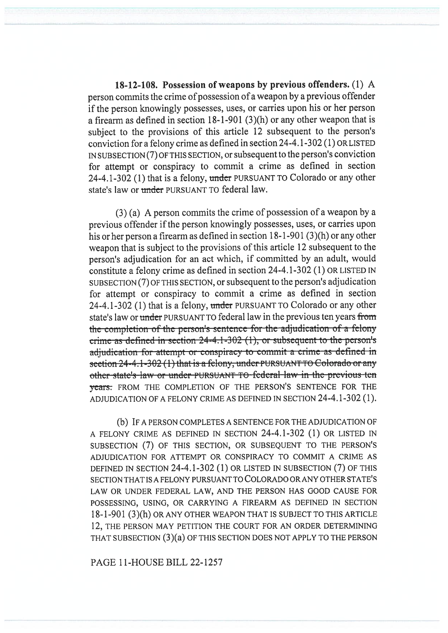18-12-108. Possession of weapons by previous offenders. (1) A nerson commits the crime of possession of a weapon by a previous offender if the person knowingly possesses, uses, or carries upon his or her person a firearm as defined in section 18-1-901 (3)(h) or any other weapon that is subject to the provisions of this article 12 subsequent to the person's conviction for a felony crime as defined in section 24-4.1-302 (1) OR LISTED IN SUBSECTION (7) OF THIS SECTION, or subsequent to the person's conviction for attempt or conspiracy to commit a crime as defined in section 24-4.1-302 (1) that is a felony, under PURSUANT TO Colorado or any other state's law or under PURSUANT TO federal law.

 $(3)$  (a) A person commits the crime of possession of a weapon by a previous offender if the person knowingly possesses, uses, or carries upon his or her person a firearm as defined in section 18-1-901 (3)(h) or any other weapon that is subject to the provisions of this article 12 subsequent to the person's adjudication for an act which, if committed by an adult, would constitute a felony crime as defined in section 24-4.1-302 (1) OR LISTED IN SUBSECTION (7) OF THIS SECTION, or subsequent to the person's adjudication for attempt or conspiracy to commit a crime as defined in section 24-4.1-302 (1) that is a felony, under PURSUANT TO Colorado or any other state's law or under PURSUANT TO federal law in the previous ten years from the completion of the person's sentence for the adjudication of a felony crime as defined in section  $24-4.1-302$  (1), or subsequent to the person's adjudication for attempt or conspiracy to commit a crime as defined in section 24-4.1-302 (1) that is a felony, under PURSUANT TO Colorado or any other state's law or under PURSUANT TO federal law in the previous ten years: FROM THE COMPLETION OF THE PERSON'S SENTENCE FOR THE ADJUDICATION OF A FELONY CRIME AS DEFINED IN SECTION 24-4.1-302 (1).

(b) IF A PERSON COMPLETES A SENTENCE FOR THE ADJUDICATION OF A FELONY CRIME AS DEFINED IN SECTION 24-4.1-302 (1) OR LISTED IN SUBSECTION (7) OF THIS SECTION, OR SUBSEQUENT TO THE PERSON'S ADJUDICATION FOR ATTEMPT OR CONSPIRACY TO COMMIT A CRIME AS DEFINED IN SECTION 24-4.1-302 (1) OR LISTED IN SUBSECTION (7) OF THIS SECTION THAT IS A FELONY PURSUANT TO COLORADO OR ANY OTHER STATE'S LAW OR UNDER FEDERAL LAW, AND THE PERSON HAS GOOD CAUSE FOR POSSESSING, USING, OR CARRYING A FIREARM AS DEFINED IN SECTION 18-1-901 (3)(h) OR ANY OTHER WEAPON THAT IS SUBJECT TO THIS ARTICLE 12. THE PERSON MAY PETITION THE COURT FOR AN ORDER DETERMINING THAT SUBSECTION (3)(a) OF THIS SECTION DOES NOT APPLY TO THE PERSON

PAGE 11-HOUSE BILL 22-1257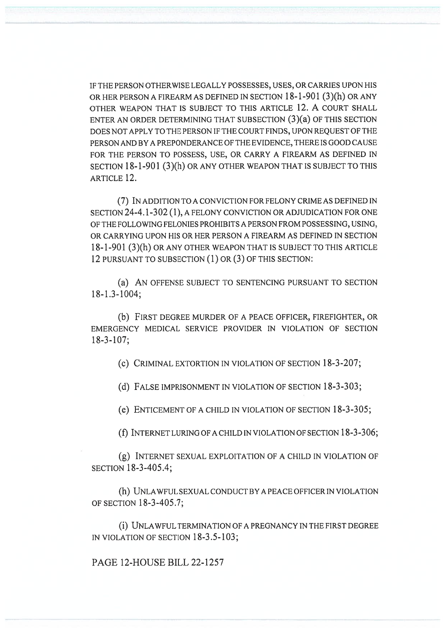IF THE PERSON OTHERWISE LEGALLY POSSESSES, USES, OR CARRIES UPON HIS OR HER PERSON A FIREARM AS DEFINED IN SECTION 18-1-901 (3)(h) OR ANY OTHER WEAPON THAT IS SUBJECT TO THIS ARTICLE 12. A COURT SHALL ENTER AN ORDER DETERMINING THAT SUBSECTION (3)(a) OF THIS SECTION DOES NOT APPLY TO THE PERSON IF THE COURT FINDS, UPON REQUEST OF THE PERSON AND BY A PREPONDERANCE OF THE EVIDENCE, THERE IS GOOD CAUSE FOR THE PERSON TO POSSESS, USE, OR CARRY A FIREARM AS DEFINED IN SECTION 18-1-901 (3)(h) OR ANY OTHER WEAPON THAT IS SUBJECT TO THIS ARTICLE 12.

(7) IN ADDITION TO A CONVICTION FOR FELONY CRIME AS DEFINED IN SECTION 24-4.1-302 (1), A FELONY CONVICTION OR ADJUDICATION FOR ONE OF THE FOLLOWING FELONIES PROHIBITS A PERSON FROM POSSESSING, USING, OR CARRYING UPON HIS OR HER PERSON A FIREARM AS DEFINED IN SECTION 18-1-901 (3)(h) OR ANY OTHER WEAPON THAT IS SUBJECT TO THIS ARTICLE 12 PURSUANT TO SUBSECTION (1) OR (3) OF THIS SECTION:

(a) AN OFFENSE SUBJECT TO SENTENCING PURSUANT TO SECTION 18-1.3-1004;

(b) FIRST DEGREE MURDER OF A PEACE OFFICER, FIREFIGHTER, OR EMERGENCY MEDICAL SERVICE PROVIDER IN VIOLATION OF SECTION 18-3-107;

(c) CRIMINAL EXTORTION IN VIOLATION OF SECTION 18-3-207;

(d) FALSE IMPRISONMENT IN VIOLATION OF SECTION 18-3-303;

(e) ENTICEMENT OF A CHILD IN VIOLATION OF SECTION 18-3-305;

(f) INTERNET LURING OF A CHILD IN VIOLATION OF SECTION  $18-3-306$ ;

(g) INTERNET SEXUAL EXPLOITATION OF A CHILD IN VIOLATION OF SECTION 18-3-405.4;

(h) UNLAWFUL SEXUAL CONDUCT BY A PEACE OFFICER IN VIOLATION OF SECTION 18-3-405.7;

(1) UNLAWFUL TERMINATION OF A PREGNANCY IN THE FIRST DEGREE IN VIOLATION OF SECTION 18-3.5-103;

PAGE 12-HOUSE BILL 22-1257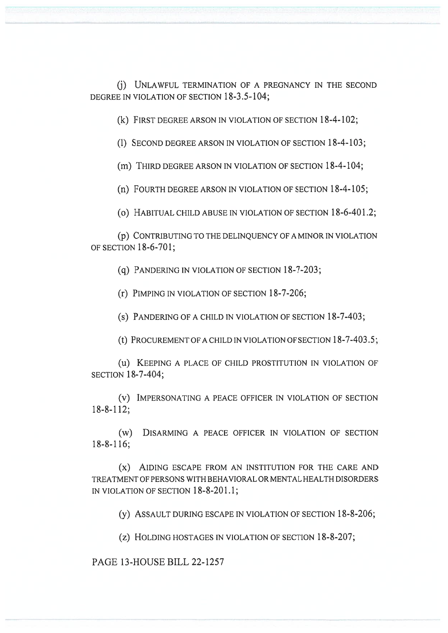(j) UNLAWFUL TERMINATION OF A PREGNANCY IN THE SECOND DEGREE IN VIOLATION OF SECTION 18-3.5-104;

(k) FIRST DEGREE ARSON IN VIOLATION OF SECTION 18-4-102;

(1) SECOND DEGREE ARSON IN VIOLATION OF SECTION 18-4-103;

(m) THIRD DEGREE ARSON IN VIOLATION OF SECTION 18-4-104;

(n) FOURTH DEGREE ARSON IN VIOLATION OF SECTION 18-4-105;

(o) HABITUAL CHILD ABUSE IN VIOLATION OF SECTION 18-6-401.2;

(p) CONTRIBUTING TO THE DELINQUENCY OF A MINOR IN VIOLATION OF SECTION 18-6-701;

(q) PANDERING IN VIOLATION OF SECTION 18-7-203;

(r) PIMPING IN VIOLATION OF SECTION 18-7-206;

(s) PANDERING OF A CHILD IN VIOLATION OF SECTION 18-7-403;

(t) PROCUREMENT OF A CHILD IN VIOLATION OF SECTION 18-7-403.5;

(u) KEEPING A PLACE OF CHILD PROSTITUTION IN VIOLATION OF SECTION 18-7-404;

(v) IMPERSONATING A PEACE OFFICER IN VIOLATION OF SECTION 18-8-112;

(w) DISARMING A PEACE OFFICER IN VIOLATION OF SECTION 18-8-116;

(x) AIDING ESCAPE FROM AN INSTITUTION FOR THE CARE AND TREATMENT OF PERSONS WITH BEHAVIORAL OR MENTAL HEALTH DISORDERS IN VIOLATION OF SECTION 18-8-201.1;

(y) ASSAULT DURING ESCAPE IN VIOLATION OF SECTION 18-8-206;

(z) HOLDING HOSTAGES IN VIOLATION OF SECTION 18-8-207;

PAGE 13-HOUSE BILL 22-1257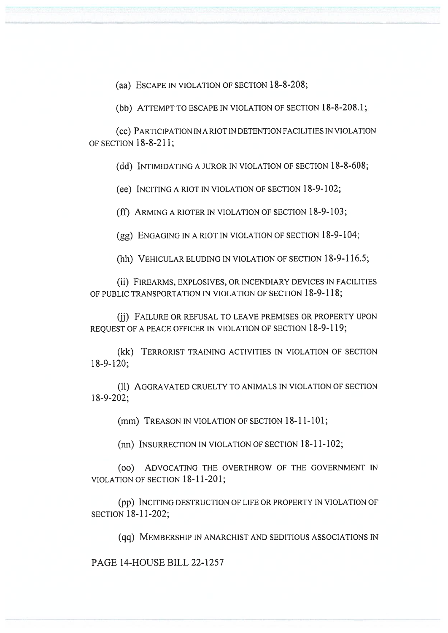(aa) ESCAPE IN VIOLATION OF SECTION 18-8-208;

(bb) ATTEMPT TO ESCAPE IN VIOLATION OF SECTION 18-8-208.1;

(cc) PARTICIPATION IN A RIOT IN DETENTION FACILITIES IN VIOLATION OF SECTION 18-8-211;

(dd) INTIMIDATING A JUROR IN VIOLATION OF SECTION 18-8-608;

(ee) INCITING A RIOT IN VIOLATION OF SECTION 18-9-102;

(ff) ARMING A RIOTER IN VIOLATION OF SECTION 18-9-103;

(gg) ENGAGING IN A RIOT IN VIOLATION OF SECTION 18-9-104;

(hh) VEHICULAR ELUDING IN VIOLATION OF SECTION 18-9-116.5;

(ii) FIREARMS, EXPLOSIVES, OR INCENDIARY DEVICES IN FACILITIES OF PUBLIC TRANSPORTATION IN VIOLATION OF SECTION 18-9-118;

(ii) FAILURE OR REFUSAL TO LEAVE PREMISES OR PROPERTY UPON REQUEST OF A PEACE OFFICER IN VIOLATION OF SECTION 18-9-119;

(kk) TERRORIST TRAINING ACTIVITIES IN VIOLATION OF SECTION 18-9-120;

(11) AGGRAVATED CRUELTY TO ANIMALS IN VIOLATION OF SECTION 18-9-202;

(mm) TREASON IN VIOLATION OF SECTION 18-11-101;

(nn) INSURRECTION IN VIOLATION OF SECTION 18-11-102;

(00) ADVOCATING THE OVERTHROW OF THE GOVERNMENT IN VIOLATION OF SECTION 18-11-201;

(pp) INCITING DESTRUCTION OF LIFE OR PROPERTY IN VIOLATION OF SECTION 18-11-202;

(qq) MEMBERSHIP IN ANARCHIST AND SEDITIOUS ASSOCIATIONS IN

PAGE 14-HOUSE BILL 22-1257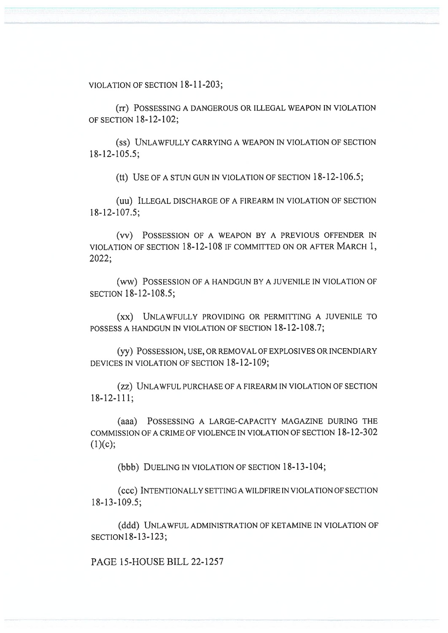VIOLATION OF SECTION 18-11-203;

(rr) POSSESSING A DANGEROUS OR ILLEGAL WEAPON IN VIOLATION OF SECTION 18-12-102;

(SS) UNLAWFULLY CARRYING A WEAPON IN VIOLATION OF SECTION 18-12-105.5;

(tt) USE OF A STUN GUN IN VIOLATION OF SECTION 18-12-106.5;

(uu) ILLEGAL DISCHARGE OF A FIREARM IN VIOLATION OF SECTION 18-12-107.5;

(vv) POSSESSION OF A WEAPON BY A PREVIOUS OFFENDER IN VIOLATION OF SECTION 18-12-108 IF COMMITTED ON OR AFTER MARCH 1, 2022;

(ww) POSSESSION OF A HANDGUN BY A JUVENILE IN VIOLATION OF SECTION 18-12-108.5;

(xx) UNLAWFULLY PROVIDING OR PERMITTING A JUVENILE TO POSSESS A HANDGUN IN VIOLATION OF SECTION 18-12-108.7;

(yy) POSSESSION, USE, OR REMOVAL OF EXPLOSIVES OR INCENDIARY DEVICES IN VIOLATION OF SECTION 18-12-109;

(zz) UNLAWFUL PURCHASE OF A FIREARM IN VIOLATION OF SECTION 18-12-111;

(aaa) POSSESSING A LARGE-CAPACITY MAGAZINE DURING THE COMMISSION OF A CRIME OF VIOLENCE IN VIOLATION OF SECTION 18-12-302  $(1)(c);$ 

(bbb) DUELING IN VIOLATION OF SECTION 18-13-104;

(ccc) INTENTIONALLY SETTING A WILDFIRE IN VIOLATION OF SECTION 18-13-109.5;

(ddd) UNLAWFUL ADMINISTRATION OF KETAMINE IN VIOLATION OF SECTION18-13-123;

PAGE 15-HOUSE BILL 22-1257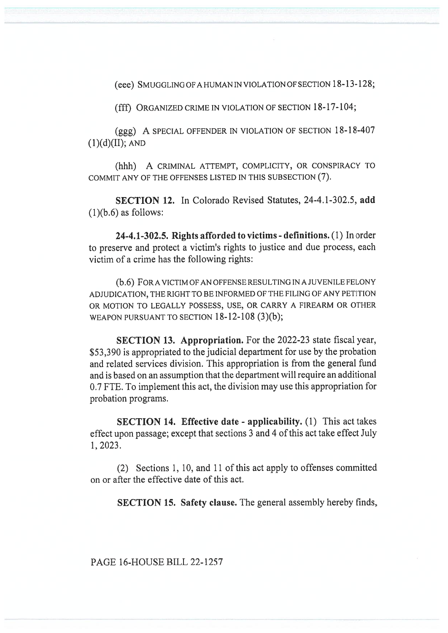(eee) SMUGGLING OF A HUMAN IN VIOLATION OF SECTION 18-13-128;

(fff) ORGANIZED CRIME IN VIOLATION OF SECTION 18-17-104;

(ggg) A SPECIAL OFFENDER IN VIOLATION OF SECTION 18-18-407  $(1)(d)(II)$ ; AND

(hhh) A CRIMINAL ATTEMPT, COMPLICITY, OR CONSPIRACY TO COMMIT ANY OF THE OFFENSES LISTED IN THIS SUBSECTION (7).

SECTION 12. In Colorado Revised Statutes, 24-4.1-302.5, add  $(1)(b.6)$  as follows:

24-4.1-302.5. Rights afforded to victims - definitions. (1) In order to preserve and protect a victim's rights to justice and due process, each victim of a crime has the following rights:

(b.6) FOR A VICTIM OF AN OFFENSE RESULTING IN A JUVENILE FELONY ADJUDICATION, THE RIGHT TO BE INFORMED OF THE FILING OF ANY PETITION OR MOTION TO LEGALLY POSSESS, USE, OR CARRY A FIREARM OR OTHER WEAPON PURSUANT TO SECTION 18-12-108 (3)(b);

SECTION 13. Appropriation. For the 2022-23 state fiscal year, \$53,390 is appropriated to the judicial department for use by the probation and related services division. This appropriation is from the general fund and is based on an assumption that the department will require an additional 0.7 FTE. To implement this act, the division may use this appropriation for probation programs.

SECTION 14. Effective date - applicability. (1) This act takes effect upon passage; except that sections 3 and 4 of this act take effect July 1, 2023.

(2) Sections 1, 10, and 11 of this act apply to offenses committed on or after the effective date of this act.

SECTION 15. Safety clause. The general assembly hereby finds,

PAGE 16-HOUSE BILL 22-1257